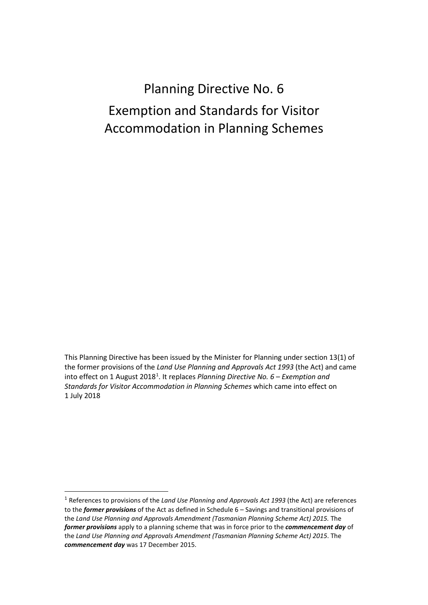# Planning Directive No. 6 Exemption and Standards for Visitor Accommodation in Planning Schemes

This Planning Directive has been issued by the Minister for Planning under section 13(1) of the former provisions of the *Land Use Planning and Approvals Act 1993* (the Act) and came into effect on [1](#page-0-0) August 2018<sup>1</sup>. It replaces *Planning Directive No. 6 – Exemption and Standards for Visitor Accommodation in Planning Schemes* which came into effect on 1 July 2018

<span id="page-0-0"></span> <sup>1</sup> References to provisions of the *Land Use Planning and Approvals Act 1993* (the Act) are references to the *former provisions* of the Act as defined in Schedule 6 – Savings and transitional provisions of the *Land Use Planning and Approvals Amendment (Tasmanian Planning Scheme Act) 2015.* The *former provisions* apply to a planning scheme that was in force prior to the *commencement day* of the *Land Use Planning and Approvals Amendment (Tasmanian Planning Scheme Act) 2015*. The *commencement day* was 17 December 2015.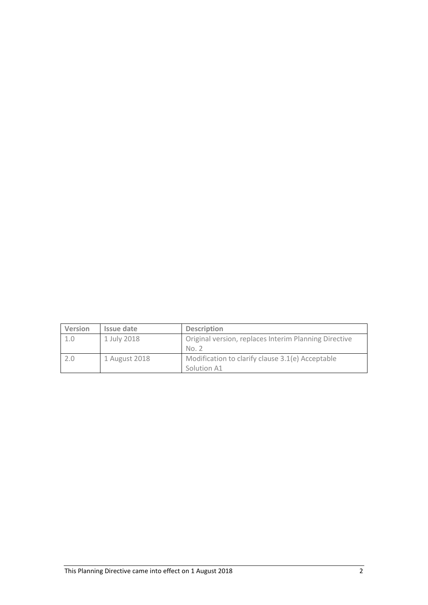| Version | Issue date    | <b>Description</b>                                             |
|---------|---------------|----------------------------------------------------------------|
| 1.0     | 1 July 2018   | Original version, replaces Interim Planning Directive<br>No. 2 |
| 2.0     | 1 August 2018 | Modification to clarify clause 3.1(e) Acceptable               |
|         |               | Solution A1                                                    |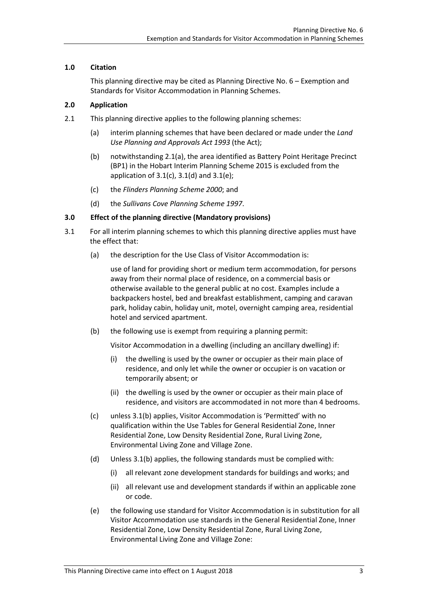## **1.0 Citation**

This planning directive may be cited as Planning Directive No. 6 – Exemption and Standards for Visitor Accommodation in Planning Schemes.

## **2.0 Application**

- 2.1 This planning directive applies to the following planning schemes:
	- (a) interim planning schemes that have been declared or made under the *Land Use Planning and Approvals Act 1993* (the Act);
	- (b) notwithstanding 2.1(a), the area identified as Battery Point Heritage Precinct (BP1) in the Hobart Interim Planning Scheme 2015 is excluded from the application of 3.1(c), 3.1(d) and 3.1(e);
	- (c) the *Flinders Planning Scheme 2000*; and
	- (d) the *Sullivans Cove Planning Scheme 1997*.

## **3.0 Effect of the planning directive (Mandatory provisions)**

- 3.1 For all interim planning schemes to which this planning directive applies must have the effect that:
	- (a) the description for the Use Class of Visitor Accommodation is:

use of land for providing short or medium term accommodation, for persons away from their normal [place](http://www.iplan.tas.gov.au/pages/plan/book.aspx?exhibit=claips) of residence, on a commercial basis or otherwise available to the general public at no cost. Examples include a backpackers [hostel, bed and breakfast establishment,](http://www.iplan.tas.gov.au/pages/plan/book.aspx?exhibit=claips) camping and caravan park, holiday cabin, holiday unit, [motel, overnight camping area, residential](http://www.iplan.tas.gov.au/pages/plan/book.aspx?exhibit=claips) hotel an[d serviced apartment.](http://www.iplan.tas.gov.au/pages/plan/book.aspx?exhibit=claips)

(b) the following use is exempt from requiring a planning permit:

Visitor Accommodation in a dwelling (including an ancillary dwelling) if:

- (i) the dwelling is used by the owner or occupier as their main place of residence, and only let while the owner or occupier is on vacation or temporarily absent; or
- (ii) the dwelling is used by the owner or occupier as their main place of residence, and visitors are accommodated in not more than 4 bedrooms.
- (c) unless 3.1(b) applies, Visitor Accommodation is 'Permitted' with no qualification within the Use Tables for General Residential Zone, Inner Residential Zone, Low Density Residential Zone, Rural Living Zone, Environmental Living Zone and Village Zone.
- (d) Unless 3.1(b) applies, the following standards must be complied with:
	- (i) all relevant zone development standards for buildings and works; and
	- (ii) all relevant use and development standards if within an applicable zone or code.
- (e) the following use standard for Visitor Accommodation is in substitution for all Visitor Accommodation use standards in the General Residential Zone, Inner Residential Zone, Low Density Residential Zone, Rural Living Zone, Environmental Living Zone and Village Zone: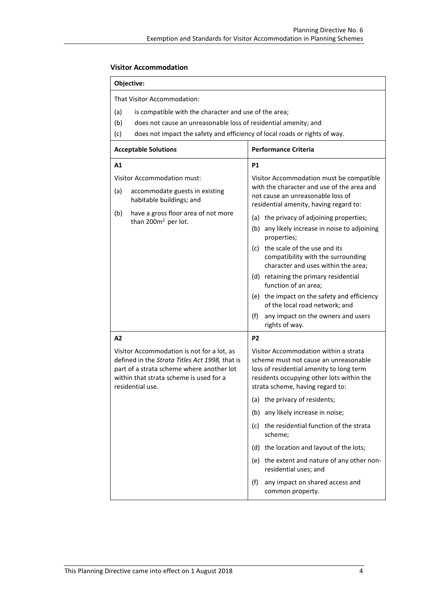## **Visitor Accommodation**

| <b>Objective:</b> |
|-------------------|
|-------------------|

That Visitor Accommodation:

- (a) is compatible with the character and use of the area;
- (b) does not cause an unreasonable loss of residential amenity; and
- (c) does not impact the safety and efficiency of local roads or rights of way.

| <b>Acceptable Solutions</b>                                                                                                                                                                              |                                                                        | <b>Performance Criteria</b>                                                                                                                                                                                 |  |  |
|----------------------------------------------------------------------------------------------------------------------------------------------------------------------------------------------------------|------------------------------------------------------------------------|-------------------------------------------------------------------------------------------------------------------------------------------------------------------------------------------------------------|--|--|
| A1                                                                                                                                                                                                       |                                                                        | <b>P1</b>                                                                                                                                                                                                   |  |  |
| Visitor Accommodation must:                                                                                                                                                                              |                                                                        | Visitor Accommodation must be compatible<br>with the character and use of the area and                                                                                                                      |  |  |
| (a)                                                                                                                                                                                                      | accommodate guests in existing<br>habitable buildings; and             | not cause an unreasonable loss of<br>residential amenity, having regard to:                                                                                                                                 |  |  |
| (b)                                                                                                                                                                                                      | have a gross floor area of not more<br>than 200m <sup>2</sup> per lot. | (a) the privacy of adjoining properties;                                                                                                                                                                    |  |  |
|                                                                                                                                                                                                          |                                                                        | (b) any likely increase in noise to adjoining<br>properties;                                                                                                                                                |  |  |
|                                                                                                                                                                                                          |                                                                        | (c) the scale of the use and its<br>compatibility with the surrounding<br>character and uses within the area;                                                                                               |  |  |
|                                                                                                                                                                                                          |                                                                        | (d) retaining the primary residential<br>function of an area;                                                                                                                                               |  |  |
|                                                                                                                                                                                                          |                                                                        | (e) the impact on the safety and efficiency<br>of the local road network; and                                                                                                                               |  |  |
|                                                                                                                                                                                                          |                                                                        | (f)<br>any impact on the owners and users<br>rights of way.                                                                                                                                                 |  |  |
| A2                                                                                                                                                                                                       |                                                                        | P <sub>2</sub>                                                                                                                                                                                              |  |  |
| Visitor Accommodation is not for a lot, as<br>defined in the Strata Titles Act 1998, that is<br>part of a strata scheme where another lot<br>within that strata scheme is used for a<br>residential use. |                                                                        | Visitor Accommodation within a strata<br>scheme must not cause an unreasonable<br>loss of residential amenity to long term<br>residents occupying other lots within the<br>strata scheme, having regard to: |  |  |
|                                                                                                                                                                                                          |                                                                        | (a) the privacy of residents;                                                                                                                                                                               |  |  |
|                                                                                                                                                                                                          |                                                                        | (b) any likely increase in noise;                                                                                                                                                                           |  |  |
|                                                                                                                                                                                                          |                                                                        | (c) the residential function of the strata<br>scheme;                                                                                                                                                       |  |  |
|                                                                                                                                                                                                          |                                                                        | (d) the location and layout of the lots;                                                                                                                                                                    |  |  |
|                                                                                                                                                                                                          |                                                                        | (e) the extent and nature of any other non-<br>residential uses; and                                                                                                                                        |  |  |
|                                                                                                                                                                                                          |                                                                        | (f)<br>any impact on shared access and<br>common property.                                                                                                                                                  |  |  |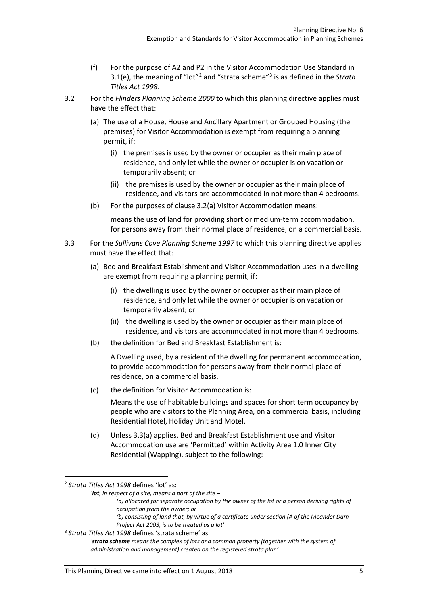- (f) For the purpose of A2 and P2 in the Visitor Accommodation Use Standard in 3.1(e), the meaning of "lot"[2](#page-4-0) and "strata scheme"[3](#page-4-1) is as defined in the *Strata Titles Act 1998*.
- 3.2 For the *Flinders Planning Scheme 2000* to which this planning directive applies must have the effect that:
	- (a) The use of a House, House and Ancillary Apartment or Grouped Housing (the premises) for Visitor Accommodation is exempt from requiring a planning permit, if:
		- (i) the premises is used by the owner or occupier as their main place of residence, and only let while the owner or occupier is on vacation or temporarily absent; or
		- (ii) the premises is used by the owner or occupier as their main place of residence, and visitors are accommodated in not more than 4 bedrooms.
	- (b) For the purposes of clause 3.2(a) Visitor Accommodation means:

means the use of land for providing short or medium-term accommodation, for persons away from their normal place of residence, on a commercial basis.

- 3.3 For the *Sullivans Cove Planning Scheme 1997* to which this planning directive applies must have the effect that:
	- (a) Bed and Breakfast Establishment and Visitor Accommodation uses in a dwelling are exempt from requiring a planning permit, if:
		- (i) the dwelling is used by the owner or occupier as their main place of residence, and only let while the owner or occupier is on vacation or temporarily absent; or
		- (ii) the dwelling is used by the owner or occupier as their main place of residence, and visitors are accommodated in not more than 4 bedrooms.
	- (b) the definition for Bed and Breakfast Establishment is:

A Dwelling used, by a resident of the dwelling for permanent accommodation, to provide accommodation for persons away from their normal place of residence, on a commercial basis.

(c) the definition for Visitor Accommodation is:

Means the use of habitable buildings and spaces for short term occupancy by people who are visitors to the Planning Area, on a commercial basis, including Residential Hotel, Holiday Unit and Motel.

(d) Unless 3.3(a) applies, Bed and Breakfast Establishment use and Visitor Accommodation use are 'Permitted' within Activity Area 1.0 Inner City Residential (Wapping), subject to the following:

<span id="page-4-0"></span>2 *Strata Titles Act 1998* defines 'lot' as:

*'lot, in respect of a site, means a part of the site –*

- *(a) allocated for separate occupation by the owner of the lot or a person deriving rights of occupation from the owner; or*
	- *(b) consisting of land that, by virtue of a certificate under section (A of the Meander Dam Project Act 2003, is to be treated as a lot'*

<span id="page-4-1"></span><sup>3</sup> *Strata Titles Act 1998* defines 'strata scheme' as:

*<sup>&#</sup>x27;strata scheme means the complex of lots and common property (together with the system of administration and management) created on the registered strata plan'*